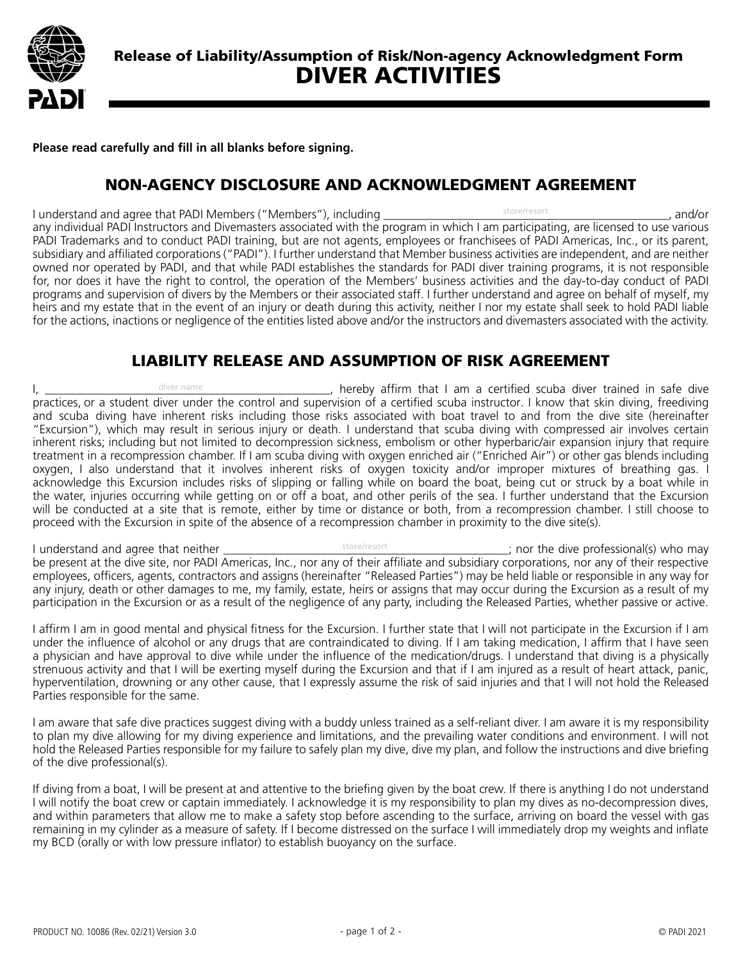

**Please read carefully and fill in all blanks before signing.**

## NON-AGENCY DISCLOSURE AND ACKNOWLEDGMENT AGREEMENT

I understand and agree that PADI Members ("Members"), including and the state of the state of the state of the state of the state of the state of the state of the state of the state of the state of the state of the state o any individual PADI Instructors and Divemasters associated with the program in which I am participating, are licensed to use various PADI Trademarks and to conduct PADI training, but are not agents, employees or franchisees of PADI Americas, Inc., or its parent, subsidiary and affiliated corporations ("PADI"). I further understand that Member business activities are independent, and are neither owned nor operated by PADI, and that while PADI establishes the standards for PADI diver training programs, it is not responsible for, nor does it have the right to control, the operation of the Members' business activities and the day-to-day conduct of PADI programs and supervision of divers by the Members or their associated staff. I further understand and agree on behalf of myself, my heirs and my estate that in the event of an injury or death during this activity, neither I nor my estate shall seek to hold PADI liable for the actions, inactions or negligence of the entities listed above and/or the instructors and divemasters associated with the activity. store/resort

## LIABILITY RELEASE AND ASSUMPTION OF RISK AGREEMENT

I,  $\frac{1}{2}$  diver name  $\frac{1}{2}$  diver  $\frac{1}{2}$  and  $\frac{1}{2}$  are  $\frac{1}{2}$ , hereby affirm that I am a certified scuba diver trained in safe diver practices, or a student diver under the control and supervision of a certified scuba instructor. I know that skin diving, freediving and scuba diving have inherent risks including those risks associated with boat travel to and from the dive site (hereinafter "Excursion"), which may result in serious injury or death. I understand that scuba diving with compressed air involves certain inherent risks; including but not limited to decompression sickness, embolism or other hyperbaric/air expansion injury that require treatment in a recompression chamber. If I am scuba diving with oxygen enriched air ("Enriched Air") or other gas blends including oxygen, I also understand that it involves inherent risks of oxygen toxicity and/or improper mixtures of breathing gas. I acknowledge this Excursion includes risks of slipping or falling while on board the boat, being cut or struck by a boat while in the water, injuries occurring while getting on or off a boat, and other perils of the sea. I further understand that the Excursion will be conducted at a site that is remote, either by time or distance or both, from a recompression chamber. I still choose to proceed with the Excursion in spite of the absence of a recompression chamber in proximity to the dive site(s). diver name

I understand and agree that neither  $\frac{1}{2}$  is the state/resort  $\frac{1}{2}$  and  $\frac{1}{2}$  nor the dive professional(s) who may be present at the dive site, nor PADI Americas, Inc., nor any of their affiliate and subsidiary corporations, nor any of their respective employees, officers, agents, contractors and assigns (hereinafter "Released Parties") may be held liable or responsible in any way for any injury, death or other damages to me, my family, estate, heirs or assigns that may occur during the Excursion as a result of my participation in the Excursion or as a result of the negligence of any party, including the Released Parties, whether passive or active.

I affirm I am in good mental and physical fitness for the Excursion. I further state that I will not participate in the Excursion if I am under the influence of alcohol or any drugs that are contraindicated to diving. If I am taking medication, I affirm that I have seen a physician and have approval to dive while under the influence of the medication/drugs. I understand that diving is a physically strenuous activity and that I will be exerting myself during the Excursion and that if I am injured as a result of heart attack, panic, hyperventilation, drowning or any other cause, that I expressly assume the risk of said injuries and that I will not hold the Released Parties responsible for the same.

I am aware that safe dive practices suggest diving with a buddy unless trained as a self-reliant diver. I am aware it is my responsibility to plan my dive allowing for my diving experience and limitations, and the prevailing water conditions and environment. I will not hold the Released Parties responsible for my failure to safely plan my dive, dive my plan, and follow the instructions and dive briefing of the dive professional(s).

If diving from a boat, I will be present at and attentive to the briefing given by the boat crew. If there is anything I do not understand I will notify the boat crew or captain immediately. I acknowledge it is my responsibility to plan my dives as no-decompression dives, and within parameters that allow me to make a safety stop before ascending to the surface, arriving on board the vessel with gas remaining in my cylinder as a measure of safety. If I become distressed on the surface I will immediately drop my weights and inflate my BCD (orally or with low pressure inflator) to establish buoyancy on the surface.